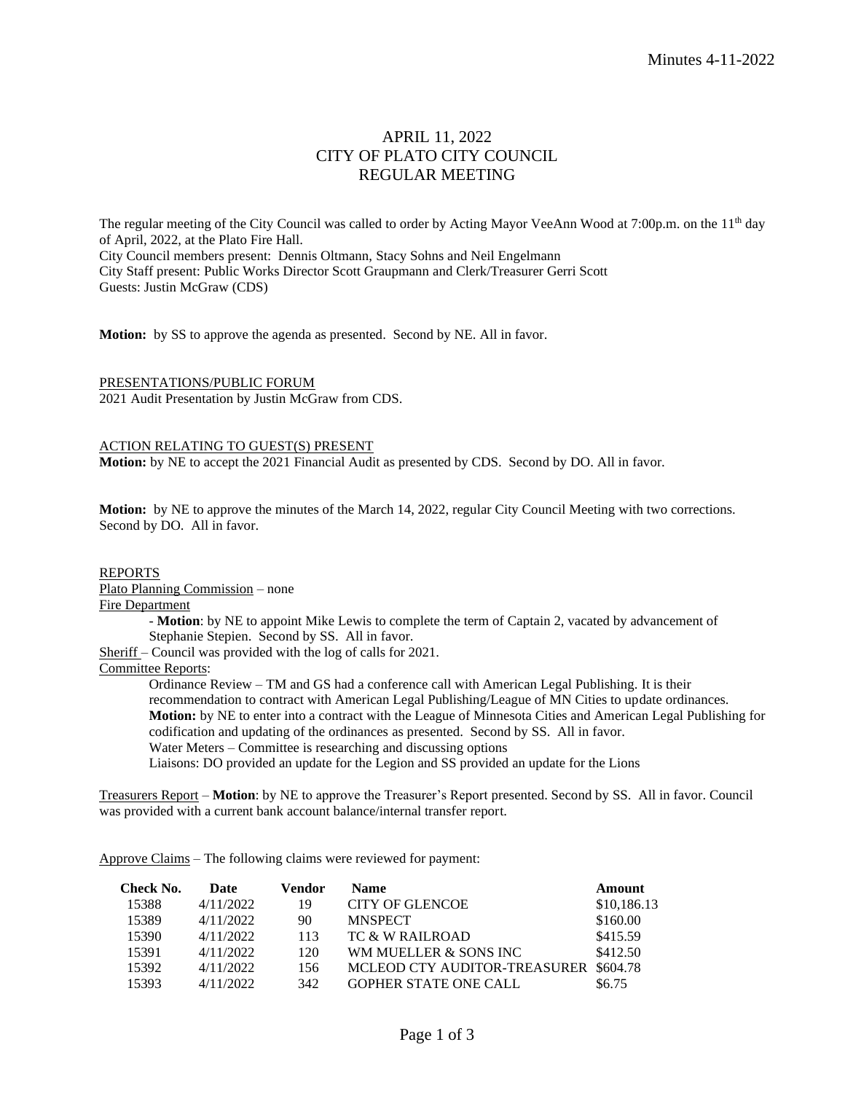# APRIL 11, 2022 CITY OF PLATO CITY COUNCIL REGULAR MEETING

The regular meeting of the City Council was called to order by Acting Mayor VeeAnn Wood at 7:00p.m. on the 11<sup>th</sup> day of April, 2022, at the Plato Fire Hall. City Council members present: Dennis Oltmann, Stacy Sohns and Neil Engelmann City Staff present: Public Works Director Scott Graupmann and Clerk/Treasurer Gerri Scott Guests: Justin McGraw (CDS)

**Motion:** by SS to approve the agenda as presented. Second by NE. All in favor.

PRESENTATIONS/PUBLIC FORUM 2021 Audit Presentation by Justin McGraw from CDS.

#### ACTION RELATING TO GUEST(S) PRESENT

**Motion:** by NE to accept the 2021 Financial Audit as presented by CDS. Second by DO. All in favor.

**Motion:** by NE to approve the minutes of the March 14, 2022, regular City Council Meeting with two corrections. Second by DO. All in favor.

### REPORTS

Plato Planning Commission – none

#### Fire Department

- **Motion**: by NE to appoint Mike Lewis to complete the term of Captain 2, vacated by advancement of Stephanie Stepien. Second by SS. All in favor.

Sheriff – Council was provided with the log of calls for 2021.

Committee Reports:

Ordinance Review – TM and GS had a conference call with American Legal Publishing. It is their recommendation to contract with American Legal Publishing/League of MN Cities to update ordinances. **Motion:** by NE to enter into a contract with the League of Minnesota Cities and American Legal Publishing for codification and updating of the ordinances as presented. Second by SS. All in favor. Water Meters – Committee is researching and discussing options

Liaisons: DO provided an update for the Legion and SS provided an update for the Lions

Treasurers Report – **Motion**: by NE to approve the Treasurer's Report presented. Second by SS. All in favor. Council was provided with a current bank account balance/internal transfer report.

Approve Claims – The following claims were reviewed for payment:

| Check No. | Date      | Vendor | <b>Name</b>                           | Amount      |
|-----------|-----------|--------|---------------------------------------|-------------|
| 15388     | 4/11/2022 | 19     | CITY OF GLENCOE                       | \$10,186.13 |
| 15389     | 4/11/2022 | 90     | <b>MNSPECT</b>                        | \$160.00    |
| 15390     | 4/11/2022 | 113    | TC & W RAILROAD                       | \$415.59    |
| 15391     | 4/11/2022 | 120    | WM MUELLER & SONS INC                 | \$412.50    |
| 15392     | 4/11/2022 | 156    | MCLEOD CTY AUDITOR-TREASURER \$604.78 |             |
| 15393     | 4/11/2022 | 342    | <b>GOPHER STATE ONE CALL</b>          | \$6.75      |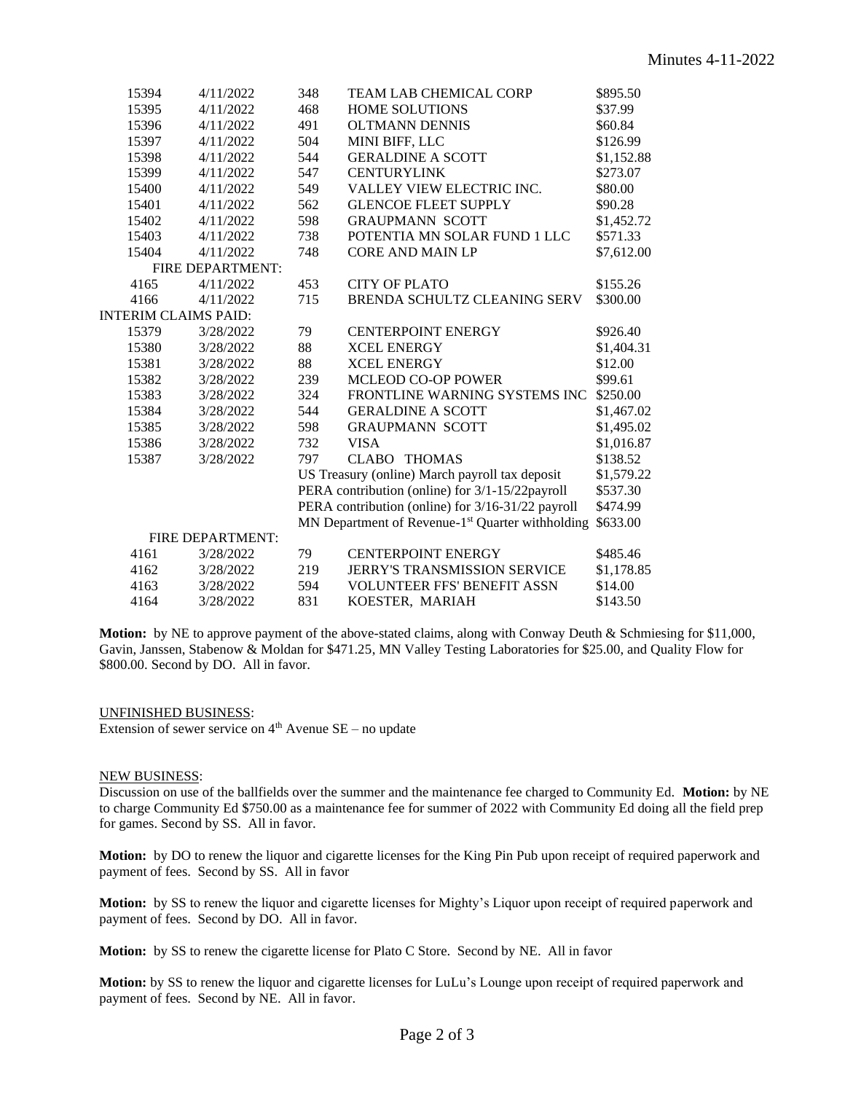|                  | 15394                | 4/11/2022                                         | 348                                             | TEAM LAB CHEMICAL CORP                                       | \$895.50   |  |  |
|------------------|----------------------|---------------------------------------------------|-------------------------------------------------|--------------------------------------------------------------|------------|--|--|
|                  | 15395                | 4/11/2022                                         | 468                                             | <b>HOME SOLUTIONS</b>                                        | \$37.99    |  |  |
|                  | 15396                | 4/11/2022                                         | 491                                             | <b>OLTMANN DENNIS</b>                                        | \$60.84    |  |  |
|                  | 15397                | 4/11/2022                                         | 504                                             | MINI BIFF, LLC                                               | \$126.99   |  |  |
|                  | 15398                | 4/11/2022                                         | 544                                             | <b>GERALDINE A SCOTT</b>                                     | \$1,152.88 |  |  |
|                  | 15399                | 4/11/2022                                         | 547                                             | <b>CENTURYLINK</b>                                           | \$273.07   |  |  |
|                  | 15400                | 4/11/2022                                         | 549                                             | <b>VALLEY VIEW ELECTRIC INC.</b>                             | \$80.00    |  |  |
|                  | 15401                | 4/11/2022                                         | 562                                             | <b>GLENCOE FLEET SUPPLY</b>                                  | \$90.28    |  |  |
|                  | 15402                | 4/11/2022                                         | 598                                             | <b>GRAUPMANN SCOTT</b>                                       | \$1,452.72 |  |  |
|                  | 15403                | 4/11/2022                                         | 738                                             | POTENTIA MN SOLAR FUND 1 LLC                                 | \$571.33   |  |  |
|                  | 15404                | 4/11/2022                                         | 748                                             | <b>CORE AND MAIN LP</b>                                      | \$7,612.00 |  |  |
| FIRE DEPARTMENT: |                      |                                                   |                                                 |                                                              |            |  |  |
|                  | 4165                 | 4/11/2022                                         | 453                                             | <b>CITY OF PLATO</b>                                         | \$155.26   |  |  |
|                  | 4166                 | 4/11/2022                                         | 715                                             | BRENDA SCHULTZ CLEANING SERV                                 | \$300.00   |  |  |
|                  | INTERIM CLAIMS PAID: |                                                   |                                                 |                                                              |            |  |  |
|                  | 15379                | 3/28/2022                                         | 79                                              | <b>CENTERPOINT ENERGY</b>                                    | \$926.40   |  |  |
|                  | 15380                | 3/28/2022                                         | 88                                              | <b>XCEL ENERGY</b>                                           | \$1,404.31 |  |  |
|                  | 15381                | 3/28/2022                                         | 88                                              | <b>XCEL ENERGY</b>                                           | \$12.00    |  |  |
|                  | 15382                | 3/28/2022                                         | 239                                             | MCLEOD CO-OP POWER                                           | \$99.61    |  |  |
|                  | 15383                | 3/28/2022                                         | 324                                             | FRONTLINE WARNING SYSTEMS INC                                | \$250.00   |  |  |
|                  | 15384                | 3/28/2022                                         | 544                                             | <b>GERALDINE A SCOTT</b>                                     | \$1,467.02 |  |  |
|                  | 15385                | 3/28/2022                                         | 598                                             | <b>GRAUPMANN SCOTT</b>                                       | \$1,495.02 |  |  |
|                  | 15386                | 3/28/2022                                         | 732                                             | <b>VISA</b>                                                  | \$1,016.87 |  |  |
|                  | 15387                | 3/28/2022                                         | 797                                             | <b>CLABO</b><br><b>THOMAS</b>                                | \$138.52   |  |  |
|                  |                      | US Treasury (online) March payroll tax deposit    |                                                 | \$1,579.22                                                   |            |  |  |
|                  |                      |                                                   | PERA contribution (online) for 3/1-15/22payroll |                                                              | \$537.30   |  |  |
|                  |                      | PERA contribution (online) for 3/16-31/22 payroll |                                                 | \$474.99                                                     |            |  |  |
|                  |                      |                                                   |                                                 | MN Department of Revenue-1 <sup>st</sup> Quarter withholding | \$633.00   |  |  |
|                  |                      | FIRE DEPARTMENT:                                  |                                                 |                                                              |            |  |  |
|                  | 4161                 | 3/28/2022                                         | 79                                              | <b>CENTERPOINT ENERGY</b>                                    | \$485.46   |  |  |
|                  | 4162                 | 3/28/2022                                         | 219                                             | <b>JERRY'S TRANSMISSION SERVICE</b>                          | \$1,178.85 |  |  |
|                  | 4163                 | 3/28/2022                                         | 594                                             | <b>VOLUNTEER FFS' BENEFIT ASSN</b>                           | \$14.00    |  |  |
|                  | 4164                 | 3/28/2022                                         | 831                                             | KOESTER, MARIAH                                              | \$143.50   |  |  |
|                  |                      |                                                   |                                                 |                                                              |            |  |  |

**Motion:** by NE to approve payment of the above-stated claims, along with Conway Deuth & Schmiesing for \$11,000, Gavin, Janssen, Stabenow & Moldan for \$471.25, MN Valley Testing Laboratories for \$25.00, and Quality Flow for \$800.00. Second by DO. All in favor.

UNFINISHED BUSINESS: Extension of sewer service on  $4<sup>th</sup>$  Avenue SE – no update

# NEW BUSINESS:

Discussion on use of the ballfields over the summer and the maintenance fee charged to Community Ed. **Motion:** by NE to charge Community Ed \$750.00 as a maintenance fee for summer of 2022 with Community Ed doing all the field prep for games. Second by SS. All in favor.

**Motion:** by DO to renew the liquor and cigarette licenses for the King Pin Pub upon receipt of required paperwork and payment of fees. Second by SS. All in favor

**Motion:** by SS to renew the liquor and cigarette licenses for Mighty's Liquor upon receipt of required paperwork and payment of fees. Second by DO. All in favor.

**Motion:** by SS to renew the cigarette license for Plato C Store. Second by NE. All in favor

**Motion:** by SS to renew the liquor and cigarette licenses for LuLu's Lounge upon receipt of required paperwork and payment of fees. Second by NE. All in favor.